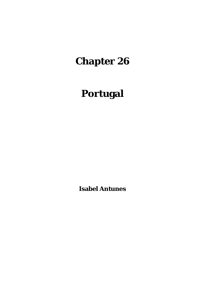# **Chapter 26**

# **Portugal**

**Isabel Antunes**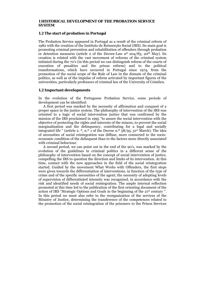#### **1 HISTORICAL DEVELOPMENT OF THE PROBATION SERVICE SYSTEM**

### **1.2 The start of probation in Portugal**

The Probation Service appeared in Portugal as a result of the criminal reform of 1982 with the creation of the Instituto de Reinserção Social (IRS). Its main goal is promoting criminal prevention and rehabilitation of offenders through probation or detention measures (article 2 of the Decree-Law  $n^{\circ}$  204/83, 20<sup>th</sup> May). Its creation is related with the vast movement of reforms of the criminal system initiated during the 70's (in this period we can distinguish reform of the courts of execution of penalties and the prison reform) and to the political transformations, which have occurred in Portugal since 1974, from the promotion of the social scope of the Rule of Law in the domain of the criminal politics, as well as of the impulse of reform activated by important figures of the universities, particularly professors of criminal law of the University of Coimbra.

#### **1.2 Important developments**

In the evolution of the Portuguese Probation Service, some periods of development can be identified:

 A first period was marked by the necessity of affirmation and conquest of a proper space in the justice system. The philosophy of intervention of the IRS was oriented to a logic of social intervention justice that was confirmed by the mission of the IRS proclaimed in 1995 "to assure the social intervention with the objective of protecting the rights and interests of the minors, to prevent the social marginalization and the delinquency, contributing for a legal and socially integrated life " (article 2.  $\degree$ , n. $\degree$  1 of the Decree n. $\degree$  58/95, 31<sup>st</sup> March). The idea of necessities of social reintegration was diffuse, more connected to the socioeconomic condition of the delinquent than to the factors more directly associated with criminal behaviour.

 A second period, we can point out in the end of the 90's, was marked by the evolution of the guidelines in criminal politics in a different sense of the philosophy of intervention based on the concept of social intervention of justice, compelling the IRS to question the direction and limits of its intervention. At this time, contact with the new approaches in the field of the social reintegration started. Guided by the movement What Works with Offenders, the first steps were given towards the differentiation of interventions, in function of the type of crime and of the specific necessities of the agent; the necessity of adopting levels of supervision of differentiated intensity was recognized, in accordance with the risk and identified needs of social reintegration. The ample internal reflection promoted at this time led to the publication of the first orienting document of the action of IRS "Strategic Options and Goals in the beginning of the 21st century ". In this period we must also refer to the reorganization of the services of the Ministry of Justice, determining the transference of the competences related to the promotion of the social reintegration of the prisoners to the Prison Services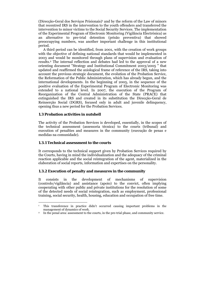(Direcção-Geral dos Serviços Prisionais)1 and by the reform of the Law of minors that recentred IRS in the intervention to the youth offenders and transferred the intervention to minor victims to the Social Security Services. The implementation of the Experimental Program of Electronic Monitoring (Vigilância Electrónica) as an alternative to pre-trial detention (prisão preventiva) that showed preoccupying numbers, was another important challenge in this institutional period.

 A third period can be identified, from 2001, with the creation of work groups with the objective of defining national standards that would be implemented in 2003 and would be monitored through plans of supervision and evaluation of results.2 The internal reflection and debates had led to the approval of a new orienting document "Strategy and Institutional Commitment 2003/2005 " that updated and reaffirmed the axiological frame of reference of the IRS, taking into account the previous strategic document, the evolution of the Probation Service, the Reformation of the Public Administration, which has already begun, and the international developments. In the beginning of 2005, in the sequence of the positive evaluation of the Experimental Program of Electronic Monitoring was extended to a national level. In 2007, the execution of the Program of Reorganization of the Central Administration of the State (PRACE) that extinguished the IRS and created in its substitution the Direcção-Geral de Reinserção Social (DGRS), focused only in adult and juvenile delinquency, opening thus a new period for the Probation Services.

#### **1.3 Probation activities in nutshell**

The activity of the Probation Services is developed, essentially, in the scopes of the technical assessment (assessoria técnica) to the courts (tribunal) and execution of penalties and measures in the community (execução de penas e medidas na comunidade).

#### **1.3.1 Technical assessment to the courts**

1

It corresponds to the technical support given by Probation Services required by the Courts, having in mind the individualization and the adequacy of the criminal reaction applicable and the social reintegration of the agent, materialized in the elaboration of social reports, information and expertises on the personality.

#### **1.3.2 Execution of penalty and measures in the community**

It consists in the development of mechanisms of supervision (controlo/vigilância) and assistance (apoio) to the convict, often implying cooperating with other public and private institutions for the resolution of some of the detected needs of social reintegration, such as employment, professional training, social security, health, housing, education and occupation of free time.

<sup>1</sup> This transference in practice didn't occurred causing important problems in the management of dynamics of work.<br>2 In the penal area: assessment to the courts, in the pre-trial phase, and community service.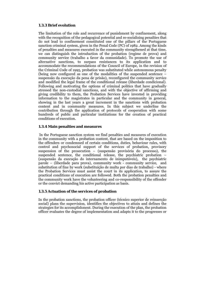## **1.3.3 Brief evolution**

The limitation of the role and recurrence of punishment by confinement, along with the recognition of the pedagogical potential and re-socialising penalties that do not lead to confinement constituted one of the pillars of the Portuguese sanction criminal system, given in the Penal Code (PC) of 1982. Among the kinds of penalties and measures executed in the community strengthened at that time, we can distinguish the introduction of the probation (regime de prova) and community service (trabalho a favor da comunidade). To promote the use of alternative sanctions, to surpass resistances to its application and to accommodate the recommendations of the Council of Europe, in the revision of the Criminal Code of 1995, probation was substituted while autonomous penalty (being now configured as one of the modalities of the suspended sentence – suspensão da execução da pena de prisão), reconfigured the community service and modified the legal frame of the conditional release (liberdade condicional). Following and motivating the options of criminal politics that have gradually stressed the non-custodial sanctions, and with the objective of affirming and giving credibility to them, the Probation Services have invested in providing information to the magistrates in particular and the community in general, showing in the last years a great increment in the sanctions with probation content and in community measures. In this subject we underline the contribution through the application of protocols of cooperation with some hundreds of public and particular institutions for the creation of practical conditions of execution.

## **1.3.4 Main penalties and measures**

 In the Portuguese sanction system we find penalties and measures of execution in the community with a probation content, that are based on the imposition to the offenders or condemned of certain conditions, duties, behaviour rules, with control and psychosocial support of the services of probation, provisory suspension of the prosecution – (suspensão provisória do processo), the suspended sentence, the conditional release, the psychiatric probation – (suspensão da execução do internamento de inimputáveis), the psychiatric parole – (liberdade para prova), community work - community service, and substitution of fine by work (substituição de multa por dias de trabalho) - where the Probation Services must assist the court in its application, to assure the practical conditions of execution are followed. Both the probation penalties and the community work have the volunteering and co-responsibility of the offender or the convict demanding his active participation as basis.

## **1.3.5 Actuation of the services of probation**

In the probation sanctions, the probation officer (técnico superior de reinserção social) plans the supervision, identifies the objectives to attain and defines the strategies for its accomplishment. During the execution of the plan, the probation officer evaluates the degree of implementation and adapts it to the progresses or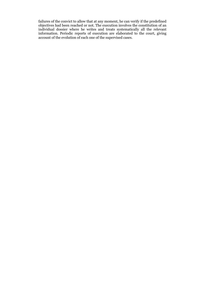failures of the convict to allow that at any moment, he can verify if the predefined objectives had been reached or not. The execution involves the constitution of an individual dossier where he writes and treats systematically all the relevant information. Periodic reports of execution are elaborated to the court, giving account of the evolution of each one of the supervised cases.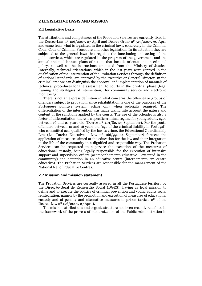#### **2 LEGISLATIVE BASIS AND MISSION**

#### **2.1 Legislative basis**

The attributions and competences of the Probation Services are currently fixed in the Decree-Law nº 126/2007, 27 April and Decree Order nº 517/2007, 30 April and came from what is legislated in the criminal laws, concretely in the Criminal Code, Code of Criminal Procedure and other legislation. In its actuation they are subjected to the general laws that regulate the functioning and acting of the public services, which are regulated in the program of the government and the annual and multiannual plans of action, that include orientations on criminal policy, as well as the instructions emanated from the Ministry of Justice. Internally, technical orientations, which in the last years were centred in the qualification of the intervention of the Probation Services through the definition of national standards, are approved by the executive or General Director. In the criminal area we can distinguish the approval and implementation of manuals of technical procedures for the assessment to courts in the pre-trial phase (legal framing and strategies of intervention), for community service and electronic monitoring.

 There is not an express definition in what concerns the offences or groups of offenders subject to probation, since rehabilitation is one of the purposes of the Portuguese punitive system, acting only when judicially required. The differentiation of the intervention was made taking into account the nature and content of the sanctions applied by the courts. The age of the offender is also a factor of differentiation; there is a specific criminal regime for young adults, aged between 16 and 21 years old (Decree n<sup>o</sup> 401/82, 23 September). For the youth offenders between 12 and 16 years old (age of the criminal liability in Portugal), who committed acts qualified by the law as crime, the Educational Guardianship Law (Lei Tutelar Ecucativa - Law nº 166/99, 14 September) foresees the application of measures aimed at the education for the law and their integration in the life of the community in a dignified and responsible way. The Probation Services can be requested to supervise the execution of the measures of educational custody, being legally responsible for the execution of intensive support and supervision orders (acompanhamento educativo - executed in the community) and detention in an educative centre (internamento em centro educativo). The Probation Services are responsible for the management of the National Net of Educative Centres.

#### **2.2 Mission and mission statement**

The Probation Services are currently assured in all the Portuguese territory by the Direcção-Geral de Reinserção Social (DGRS); having as legal mission to define and to execute the politics of criminal prevention and young adults social reintegration, namely by the promotion and execution of measures of educational custody and of penalty and alternative measures to prison (article 2º of the Decree-Law nº 126/2007, 27 April).

 The mission, attributions and organic structure had been recently redefined in the framework of the process of modernization of the Public Administration in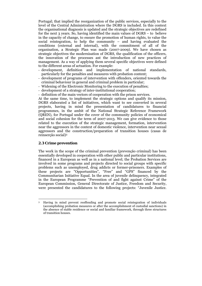Portugal; that implied the reorganization of the public services, especially to the level of the Central Administration where the DGRS is included. In this context the organisational diagnosis is updated and the strategic objectives are redefined for the next 3 years. So, having identified the main values of DGRS – to believe in the capacity of change, to ensure the promotion of human rights, to value the social reintegration, to help the community – and having evaluated the conditions (external and internal), with the commitment of all of the organisation, a Strategic Plan was made (2007-2009). We have chosen as strategic objectives the modernisation of DGRS, the qualification of the officers, the innovation of the processes ant the introduction of new practices of management. As a way of applying them several specific objectives were defined to the different areas of actuation. For example:

- development, definition and implementation of national standards, particularly for the penalties and measures with probation content;
- development of programs of intervention with offenders, oriented towards the criminal behaviour in general and criminal problem in particular;
- Widening of the Electronic Monitoring to the execution of penalties;
- development of a strategy of inter-institutional cooperation;
- definition of the main vectors of cooperation with the prison services.

At the same time, to implement the strategic options and qualify its mission, DGRS elaborated a list of initiatives, which want to see converted in several projects, having in mind the presentation of candidatures to financial programmes, in the ambit of the National Strategic Reference Framework (QREN), for Portugal under the cover of the community policies of economical and social cohesion for the term of 2007-2013. We can give evidence to those related to the execution of the strategic management, formation, intervention near the aggressors in the context of domestic violence, intervention near sexual aggressors and the construction/preparation of transition houses (casas de reinserção social)3

## **2.3 Crime prevention**

<u>.</u>

The work in the scope of the criminal prevention (prevenção criminal) has been essentially developed in cooperation with other public and particular institutions, financed in a European as well as in a national level; the Probation Services are involved in some programs and projects directed to social groups with specific problems such as unemployed, drug addicts or former-prisoners. Examples of these projects are "Opportunities", "Free" and "GPS" financed by the Communitarian Initiative Equal. In the area of juvenile delinquency, integrated in the European Programme "Prevention of and fight against Crime" of the European Commission, General Directorate of Justice, Freedom and Security, were presented the candidatures to the following projects: "Juvenile Justice.

<sup>3</sup> Having in mind prevent reoffending and promote social reintegration of individuals (accomplishing probation measures or after the accomplishment of custodial sanctions) in the absence of stable residence or social and familiar framework, through three structures of transition houses.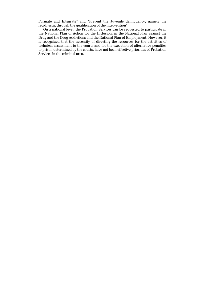Formate and Integrate" and "Prevent the Juvenile delinquency, namely the recidivism, through the qualification of the intervention".

 On a national level, the Probation Services can be requested to participate in the National Plan of Action for the Inclusion, in the National Plan against the Drug and the Drug Addictions and the National Plan of Employment. However, it is recognized that the necessity of directing the resources for the activities of technical assessment to the courts and for the execution of alternative penalties to prison determined by the courts, have not been effective priorities of Probation Services in the criminal area.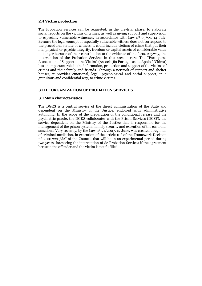## **2.4 Victim protection**

The Probation Services can be requested, in the pre-trial phase, to elaborate social reports on the victims of crimes, as well as giving support and supervision to especially vulnerable witnesses, in accordance with Law nº 93/99, 14 July. Because the legal concept of especially vulnerable witness does not correspond to the procedural statute of witness, it could include victims of crime that put their life, physical or psychic integrity, freedom or capital assets of considerable value in danger because of their contribution to the evidence of the facts. Anyway, the intervention of the Probation Services in this area is rare. The "Portuguese Association of Support to the Victim" (Associação Portuguesa de Apoio à Vítima) has an important role in the information, protection and support of the victims of crimes and their family and friends. Through a network of support and shelter houses, it provides emotional, legal, psychological and social support, in a gratuitous and confidential way, to crime victims.

## **3 THE ORGANIZATION OF PROBATION SERVICES**

## **3.1 Main characteristics**

The DGRS is a central service of the direct administration of the State and dependent on the Ministry of the Justice, endowed with administrative autonomy. In the scope of the preparation of the conditional release and the psychiatric parole, the DGRS collaborates with the Prison Services (DGSP), the service dependent on the Ministry of the Justice that is responsible for the management of the prison system, namely security and execution of the custodial sanctions. Very recently, by the Law  $n^{\circ}$  21/2007, 12 June, was created a regimen of criminal mediation, in execution of the article 10º of the Framework Decision nº 2001/220/JAI of the Council, that will be in an experimental period during two years, foreseeing the intervention of de Probation Services if the agreement between the offender and the victim is not fulfilled.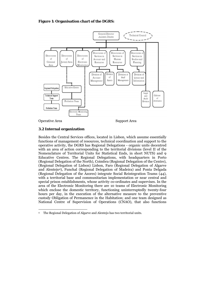## **Figure 1: Organisation chart of the DGRS:**



Operative Area Support Area

## **3.2 Internal organization**

Besides the Central Services offices, located in Lisbon, which assume essentially functions of management of resources, technical coordination and support to the operative activity, the DGRS has Regional Delegations - organic units decentred with an area of action corresponding to the territorial divisions (level II of the Nomenclature of Territorial Units for Statistical Ends, in short NUTS) and 9 Educative Centres. The Regional Delegations, with headquarters in Porto (Regional Delegation of the North), Coimbra (Regional Delegation of the Centre), (Regional Delegation of Lisbon) Lisbon, Faro (Regional Delegation of Algarve and Alentejo4), Funchal (Regional Delegation of Madeira) and Ponta Delgada (Regional Delegation of the Azores) integrate Social Reintegration Teams (44), with a territorial base and communitarian implementation or near central and special prison establishments, whose activity co-ordinates and supervises. In the area of the Electronic Monitoring there are 10 teams of Electronic Monitoring which enclose the domestic territory, functioning uninterruptedly twenty-four hours per day, in the execution of the alternative measure to the preventive custody Obligation of Permanence in the Habitation; and one team designed as National Centre of Supervision of Operations (CNAO), that also functions

<sup>1</sup> 4 The Regional Delegation of Algarve and Alentejo has two territorial units.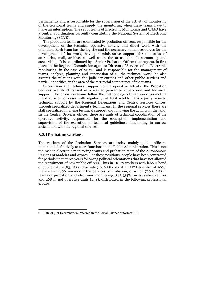permanently and is responsible for the supervision of the activity of monitoring of the territorial teams and supply the monitoring when these teams have to make an interruption. The set of teams of Electronic Monitoring and CNAO have a central coordination currently constituting the National System of Electronic Monitoring (SNVE).

 The probation teams are constituted by probation officers, responsible for the development of the technical operative activity and direct work with the offenders. Each team has the logistic and the necessary human resources for the development of its work, having administrative support for the tasks of secretariat, mail, archive, as well as in the areas of staff, accounting and stewardship. It is co-ordinated by a Senior Probation Officer that reports, in first place, to the Regional Commission agent or Director of Services of the Electronic Monitoring, in the case of SNVE, and is responsible for the management of teams, analysis, planning and supervision of all the technical work; he also assures the relations with the judiciary entities and other public services and particular entities, in the area of the territorial competence of the teams.

 Supervision and technical support to the operative activity: the Probation Services are structuralized in a way to guarantee supervision and technical support. The probation teams follow the methodology of teamwork, promoting the discussion of cases with regularity, at least weekly. It is equally assured technical support by the Regional Delegations and Central Services offices, through specialized department's technicians. In the regional services there are staff specialized in giving technical support and following the activity in the land. In the Central Services offices, there are units of technical coordination of the operative activity, responsible for the conception, implementation and supervision of the execution of technical guidelines, functioning in narrow articulation with the regional services.

#### **3.2.1 Probation workers**

1

The workers of the Probation Services are today mainly public officers, nominated definitively to exert functions in the Public Administration. This is not the case in electronic monitoring teams and probation team of the Autonomous Regions of Madeira and Azores. For those positions, people have been contracted for periods up to three years following political orientations that have not allowed the recruitment of new public officers. Thus in DGRS workers with labour bond of public nature  $(83,1\%)$  and private  $(16, 9\%)^5$  coexist. In  $31<sup>st</sup>$  December of 2006, there were 1,600 workers in the Services of Probation, of which 790 (49%) in teams of probation and electronic monitoring, 542 (34%) in educative centres and 268 in not operative units (17%), distributed in the following professional groups:

<sup>5</sup> Data of 31st December 06, referred in the Social Balance of former IRS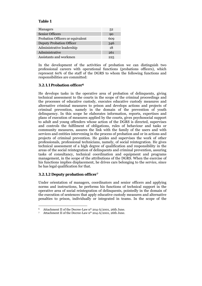## **Table 1**

| 52  |
|-----|
| 90  |
| 609 |
| 346 |
| 18  |
| 261 |
| 225 |
|     |

In the development of the activities of probation we can distinguish two professional careers with operational functions (probations officers), which represent 60% of the staff of the DGRS to whom the following functions and responsibilities are committed:

## **3.2.1.1 Probation officer6**

He develops tasks in the operative area of probation of delinquents, giving technical assessment to the courts in the scope of the criminal proceedings and the processes of educative custody, executes educative custody measures and alternative criminal measures to prison and develops actions and projects of criminal prevention, namely in the domain of the prevention of youth delinquency. In this scope he elaborates information, reports, expertises and plans of execution of measures applied by the courts, gives psychosocial support to adult and young offenders whose action of the DGRS is directed, supervises and controls the fulfilment of obligations, rules of behaviour and tasks or community measures, assures the link with the family of the users and with services and entities intervening in the process of probation and or in actions and projects of criminal prevention. He guides and supervises the work of other professionals, professional technicians, namely, of social reintegration. He gives technical assessment of a high degree of qualification and responsibility in the areas of the social reintegration of delinquents and criminal prevention, assuring tasks of consultancy, technical coordination and equipment and programs management, in the scope of the attributions of the DGRS. When the exercise of his functions implies displacement, he drives cars belonging to the service, since he has legal qualification for that.

# **3.2.1.2 Deputy probation officer7**

1

Under orientation of managers, coordinators and senior officers and applying norms and instructions, he performs his functions of technical support in the operative area of social reintegration of delinquents, pointedly in the domain of the execution of sentences that apply educative custody measures and alternative penalties to prison, individually or integrated in teams. In the scope of the

<sup>&</sup>lt;sup>6</sup> Attachment II of the Decree-Law n<sup>o</sup> 204-A/2001, 26th June.<br><sup>7</sup> Attachment II of the Decree-Law n<sup>o</sup> 204-A/2001, 26th June.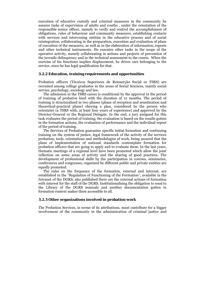execution of educative custody and criminal measures in the community he assures tasks of supervision of adults and youths , under the orientation of the responsible senior officer, namely to verify and control the accomplishment of obligations, rules of behaviour and community measures, establishing contacts with services and intervening entities in the educative process and of social reintegration, collaborating in the preparation, execution and evaluation of plans of execution of the measures, as well as in the elaboration of information, reports and other technical instruments. He executes other tasks in the scope of the operative activity, namely collaborating in actions and projects of prevention of the juvenile delinquency and in the technical assessment to the courts. When the exercise of his functions implies displacement, he drives cars belonging to the service, since he has legal qualification for that.

#### **3.2.2 Education, training requirements and opportunities**

Probation officers (Técnicos Superiores de Reinserção Social or TSRS) are recruited among college graduates in the areas of Social Sciences, mainly social service, psychology, sociology and law.

 The admission in the TSRS career is conditional by the approval in the period of training of probative kind with the duration of 12 months. The period of training is structuralized in two phases (phase of reception and sensitisation and theoretical-practical phase) obeying a plan, considered by the person who orientates (a TSRS with, at least four years of experience) and approved by the Director-General or the Regional Delegate. In the end, a jury assigned for this task evaluates the period of training; the evaluation is based on the results gotten in the formation actions, the evaluation of performance and the individual report of the period of training.

 The Services of Probation guarantee specific initial formation and continuing training on the system of justice, legal framework of the activity of the services probation, tools, orientations and methodologies of work, being assured that the plans of implementation of national standards contemplate formation for probation officers that are going to apply and to evaluate them. In the last years, thematic meetings of a regional level have been promoted which allow the joint reflection on some areas of activity and the sharing of good practices. The development of professional skills by the participation in courses, seminaries, conferences and congresses, organized by different public and private entities are equally promoted.

 The rules on the frequency of the formation, external and internal, are established in the "Regulation of Functioning of the Formation", available in the Intranet of the DGRS; also published there are the external actions of formation with interest for the staff of the DGRS. Institutionalising the obligation to send to the Library of the DGRS manuals and another documentation gotten in formation context makes them accessible to all.

#### **3.2.3 Other organizations involved in probation work**

The Probation Services, in terms of its attributions, must contribute for a bigger involvement of the community in the administration of criminal justice and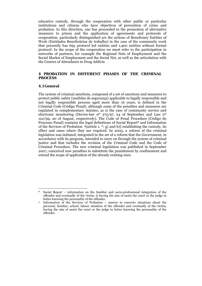educative custody, through the cooperation with other public or particular institutions and citizens who have objectives of prevention of crime and probation. In this direction, one has proceeded to the promotion of alternative measures to prison and the application of agreements and protocols of cooperation; particularly distinguished are the actions of Beneficiary Entities of Work (Entidades Beneficiárias de trabalho) in the case of the community work that presently has 695 protocol led entities and 1,400 entities without formal protocol. In the scope of the cooperation we must refer to the participation in networks of partners, for example the Regional Nets of Employment and the Social Market of Employment and the Social Net, as well as the articulation with the Centres of Attendance to Drug Addicts

## **4 PROBATION IN DIFFERENT PHASES OF THE CRIMINAL PROCESS**

#### **4.1 General**

1

The system of criminal sanctions, composed of a set of sanctions and measures to protect public safety (medidas de segurança) applicable to legally responsible and not legally responsible persons aged more than 16 years, is defined in the Criminal Code (Código Penal), although some of the penalties and measures are regulated in complementary statutes, as is the case of community service and electronic monitoring (Decree-law nº 375/97, 24 of September and Law nº 122/99, 20 of August, respectively). The Code of Penal Procedure (Código do Processo Penal) contains the legal definitions of Social Report<sup>8</sup> and Information of the Services of Probation  $\mathcal{G}$  article 1.  $\mathcal{O}$ , g) and h) establishing the custody, its effect and cases where they are required. In 2005, a reform of the criminal legislation was initiated, integrated in the set of a reform that the Government, in accordance with its program, intended to carry on through the system of criminal justice and that includes the revision of the Criminal Code and the Code of Criminal Procedure. The new criminal legislation was published in September 2007, conceived new penalties to substitute the punishment by confinement and extend the scope of application of the already existing ones.

<sup>8</sup> Social Report – information on the familiar and socio-professional integration of the offender and eventually of the victim, is having the aim of assist the court or the judge in

better knowing the personality of the offender.<br>
9 Information of the Services of Probation – answer to concrete situations about the personal, familiar, school, labour situation of the offender and eventually of the victim, having the aim of assist the court or the judge in better knowing the personality of the offender.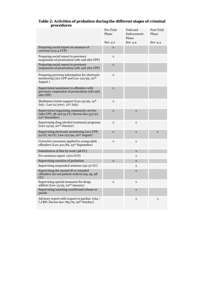|            | Table 2: Activities of probation during the different stages of criminal |  |
|------------|--------------------------------------------------------------------------|--|
| procedures |                                                                          |  |

|                                                                                                                      | Pre-Trial<br>Phase | Trial and<br>Enforcement<br>Phase | Post-Trial<br>Phase |
|----------------------------------------------------------------------------------------------------------------------|--------------------|-----------------------------------|---------------------|
|                                                                                                                      | See: 4.2           | See: 4.4                          | See: 4.4            |
| Preparing social report on measure of<br>coercion (213-4 CCP)                                                        | X                  |                                   |                     |
| Preparing social report to provisory<br>suspension of prosecution (281 and 282 CPP)                                  | $\mathbf X$        |                                   |                     |
| Preparing social report to provisory<br>suspension of prosecution (281 and 282 CPP)                                  | $\mathbf X$        |                                   |                     |
| Preparing previous information for electronic<br>monitoring (201 CPP and Law 122/99, 20 <sup>th</sup><br>August)     | $\mathbf X$        |                                   |                     |
| Supervision/assistance to offenders with<br>provisory suspension of prosecution (281 and<br>282 CPP)                 | $\mathbf X$        |                                   |                     |
| Mediation/victim support (Law 93/99, 14 <sup>th</sup><br>July; Law 21/2007, 12 <sup>th</sup> July)                   | $\mathbf X$        |                                   |                     |
| Supervision/organizing community service<br>(282 CPP; 58 and 59 CC; Decree-law 357/97,<br>24 <sup>th</sup> December) | $\mathbf X$        | $\mathbf X$                       |                     |
| Supervising drug/alcohol treatment programs<br>(Law 15/93, 22 <sup>nd</sup> January)                                 | $\mathbf X$        | $\mathbf X$                       |                     |
| Supervising electronic monitoring (201 CPP;<br>44 CC; 62 CC; Law 122/99, 20 <sup>th</sup> August)                    | $\mathbf X$        | $\mathbf X$                       | X                   |
| Corrective measures applied to young adult<br>offenders (Law 401/82, 23 <sup>rd</sup> September)                     | $\mathbf X$        | $\mathbf X$                       |                     |
| Substitution of fine by work (48 CC)                                                                                 |                    | $\mathbf X$                       |                     |
| Pre-sentence report (370 CCP)                                                                                        |                    | X                                 |                     |
| Supervising sanction of probation                                                                                    | $\mathbf X$        | $\mathbf X$                       |                     |
| Supervising suspended sentence (50-57 CC)                                                                            |                    | X                                 |                     |
| Supervising the mental ill or retarded<br>offenders (in-out patient orders) (94, 95, 98<br>CC)                       |                    | $\mathbf X$                       |                     |
| Supervising special measures for drugs<br>addicts (Law 15/93, 22 <sup>nd</sup> January)                              | $\mathbf X$        | X                                 |                     |
| Supervising/assisting conditional release or<br>parole                                                               |                    | $\mathbf X$                       |                     |
| Advisory report with respect to pardon $(164 -$<br>f, CRP; Decree-law 783/79, 29 <sup>th</sup> October)              |                    | X                                 | X                   |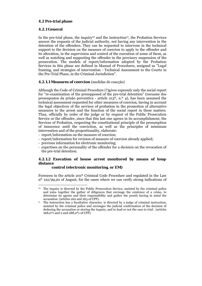## **4.2 Pre-trial phase**

## **4.2.1 General**

1

In the pre-trial phase, the inquiry<sup>10</sup> and the instruction<sup>11</sup>, the Probation Services answer the requests of the judicial authority, not having any intervention in the detention of the offenders. They can be requested to intervene in the technical support to the decision on the measure of coercion to apply to the offender and its alteration, in the supervision and control of the execution of some of them, as well as watching and supporting the offender in the provisory suspension of the prosecution. The models of report/information adopted by the Probation Services in this phase are defined in Manual of Procedures, assigned as "Legal framing, and strategies of intervention - Technical Assessment to the Courts in the Pre-Trial Phase, in the Criminal Jurisdiction".

## **4.2.1.1 Measures of coercion** (medidas de coacção)

Although the Code of Criminal Procedure (?)gives expressly only the social report for "re-examination of the presupposed of the pre-trial detention" (reexame dos pressupostos da prisão preventiva - article 213º, n.º 4), has been assumed the technical assessment requested for other measures of coercion, having in account the legal objectives of the services of probation in the promotion of alternative measures to the arrest and the function of the social report in these matters. Thus, officially by order of the judge or by request of the Public Prosecution Service or the offender, since that this last one agrees in its accomplishment, the Services of Probation, respecting the constitutional principle of the presumption of innocence until the conviction, as well as the principles of minimum intervention and of the proportionality, elaborate:

- report/information on the measure of coercion;
- report/information for revision of measure of coercion already applied;
- previous information for electronic monitoring;
- expertises on the personality of the offender for a decision on the revocation of the pre-trial detention.

# **4.2.1.2 Execution of house arrest monitored by means of longdistance**

## **control (electronic monitoring, or EM)**

Foreseen in the article 201º Criminal Code Procedure and regulated in the Law nº 122/99,20 of August, for the cases where we can verify strong indications of

<sup>&</sup>lt;sup>10</sup> The inquiry is directed by the Public Prosecution Service, assisted by the criminal police and joins together the gather of diligences that envisage the existence of a crime, to determine its agents and their responsibility and gather the proofs having in mind the

accusation. (articles 262 and 263 of CPP).<br>The instruction has a facultative character, is directed by a judge of criminal instruction, assisted by the criminal police and envisages the judicial confirmation of the decision of deducing the accusation or storing the inquiry, and to lead or not the case to trial. (articles  $268, n^{o}$ 1 and 2 and  $288, n^{o}$ 1 of CPP).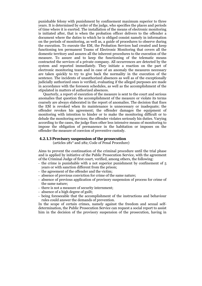punishable felony with punishment by confinement maximum superior to three years. It is determined by order of the judge, who specifies the places and periods of time where it is exerted. The installation of the means of electronic monitoring is initiated after, that is when the probation officer delivers to the offender a document where the duties to which he is obliged consist namely in information on the periods of monitoring, as well as, a guide of procedures to observe during the execution. To execute the EM, the Probation Services had created and keep functioning ten permanent Teams of Electronic Monitoring that covers all the domestic territory and assures all the inherent procedures to the execution of the measure. To assure and to keep the functioning of the telematic means contracted the services of a private company. All occurrences are detected by the system and reported immediately. They initiate a reaction on the part of electronic monitoring team and in case of an anomaly the measures necessary are taken quickly to try to give back the normality in the execution of the sentence. The incidents of unauthorized absences as well as of the exceptionally judicially authorized ones is verified, evaluating if the alleged purposes are made in accordance with the foreseen schedules, as well as the accomplishment of the stipulated in matters of authorized absences.

 Quarterly, a report of execution of the measure is sent to the court and serious anomalies that question the accomplishment of the measure or violate its terms coarsely are always elaborated in the report of anomalies. The decision that fixes the EM is revoked when its maintenance is unnecessary or inadequate; the offender revokes his agreement; the offender damages the equipment of monitoring with intention to hinder or to make the monitoring difficult or to delude the monitoring services; the offender violates seriously his duties. Varying according to the cases, the judge fixes other less intensive means of monitoring to impose the obligation of permanence in the habitation or imposes on the offender the measure of coercion of preventive custody.

#### **4.2.1.3 Provisory suspension of the prosecution**

(articles 281° and 282; Code of Penal Procedure)

Aims to prevent the continuation of the criminal procedure until the trial phase and is applied by initiative of the Public Prosecution Service, with the agreement of the Criminal Judge of first court, verified, among others, the following:

- the crime is punishable with a not superior punishment by confinement of 5 years or with sanction different from the prison;
- the agreement of the offender and the victim;
- absence of previous conviction for crime of the same nature;
- absence of previous application of provisory suspension of process for crime of the same nature;
- there is not a measure of security internment;
- absence of a high degree of guilt;
- being foreseeable that the accomplishment of the instructions and behaviour rules could answer the demands of prevention.

In the scope of certain crimes, namely against the freedom and sexual selfdetermination, the Public Prosecution Service can request a social report to assist him in the decision of the provisory suspension of the prosecution, having in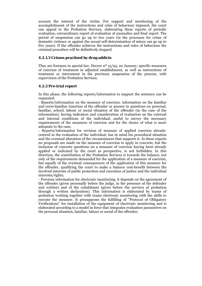account the interest of the victim. For support and monitoring of the accomplishment of the instructions and rules of behaviour imposed, the court can appeal to the Probation Services, elaborating these reports of periodic evaluation, extraordinary report of evaluation of anomalies and final report. The period of suspension can go up to two years (in the processes for crime of domestic violence or against the sexual self-determination of minor can go up to five years). If the offender achieves the instructions and rules of behaviour the criminal procedure will be definitively stopped.

## **4.2.1.5 Crimes practised by drug addicts**

They are foreseen in special law, Decree  $n^{\circ}$  15/93, 22 January, specific measures of coercion of treatment in adjusted establishment, as well as instructions of treatment or internment in the provisory suspension of the process, with supervision of the Probation Services.

# **4.2.2 Pre-trial report**

In this phase, the following reports/information to support the sentence can be requested:

- Reports/information on the measure of coercion: information on the familiar and socio-familiar insertion of the offender or answer to questions on personal, familiar, school, labour or social situation of the offender (in the case of the information), having indicators and consideration of evaluation on the external and internal conditions of the individual, useful to survey the necessary requirements of the measures of coercion and for the choice of what is more adequate to the case;

- Reports/information for revision of measure of applied coercion already: centred in the evaluation of the individual, has in mind his procedural situation and the eventual alteration of the circumstances that supports it. In these reports no proposals are made on the measure of coercion to apply in concrete, but the inclusion of concrete questions on a measure of coercion having been already applied or indicated by the court as perspective, is not forbidden. In this direction, the contribution of the Probation Services is towards the balance, not only of the requirements demanded for the application of a measure of coercion, but equally of the eventual consequences of the application of this measure for the offender, qualifying the court to make a balance cost-benefit between the involved interests of public protection and execution of justice and the individual interests/rights;

- Previous information for electronic monitoring: it depends on the agreement of the offender (given personally before the judge, in the presence of the defender and written) and of the cohabitants (given before the services of probation through a written declaration). This information is elaborated by teams of probation working together with teams electronic monitoring with the skills to execute the measure. It presupposes the fulfilling of "Protocol of Obligatory Verifications" for installation of the equipment of electronic monitoring and is elaborated according to a model in force that integrates evaluation parameters on the personal situation, familiar, labour or social of the offender;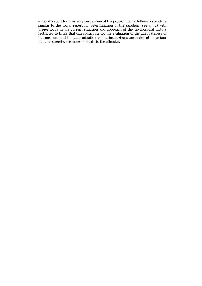- Social Report for provisory suspension of the prosecution: it follows a structure similar to the social report for determination of the sanction (see 4.3.2) with bigger focus in the current situation and approach of the psychosocial factors restricted to those that can contribute for the evaluation of the adequateness of the measure and the determination of the instructions and rules of behaviour that, in concrete, are more adequate to the offender.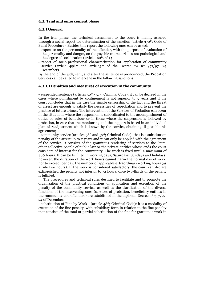## **4.3. Trial and enforcement phase**

#### **4.3.1 General**

In the trial phase, the technical assessment to the court is mainly assured through a social report for determination of the sanction (article 370º; Code of Penal Procedure). Besides this report the following ones can be asked:

- expertise on the personality of the offender, with the purpose of evaluation of the personality and danger, on the psychic characteristics not pathological and the degree of socialization (article 160º, nº1 ;
- report of socio-professional characterization for application of community service (article 496.<sup>o</sup> and article<sub>5</sub>.<sup>o</sup> of the Decree-law n<sup>o</sup> 357/97, 24 December).

By the end of the judgment, and after the sentence is pronounced, the Probation Services can be called to intervene in the following sanctions:

#### **4.3.1.1 Penalties and measures of execution in the community**

- suspended sentence (articles 50º - 57º; Criminal Code): it can be decreed in the cases where punishment by confinement is not superior to 5 years and if the court concludes that in the case the simple censorship of the fact and the threat of arrest are enough to satisfy the necessities of reprobation and to prevent the practice of future crimes. The intervention of the Services of Probation can occur in the situations where the suspension is subordinated to the accomplishment of duties or rules of behaviour or in those where the suspension is followed by probation, in case that the monitoring and the support is based in an individual plan of readjustment which is known by the convict, obtaining, if possible his agreement;

- community service (articles 58º and 59º; Criminal Code): that is a substitution penalty of the arrest up to 2 years and it can only be applied with the agreement of the convict. It consists of the gratuitous rendering of services to the State, other collective people of public law or the private entities whose ends the court considers of interest for the community. The work is fixed until a maximum of 480 hours. It can be fulfilled in working days, Saturdays, Sundays and holidays; however, the duration of the work hours cannot harm the normal day of work, nor to exceed, per day, the number of applicable extraordinary working hours (as a rule two hours). If the work is considered satisfactory, the court can declare extinguished the penalty not inferior to 72 hours, once two-thirds of the penalty is fulfilled.

 The procedures and technical rules destined to facilitate and to promote the organization of the practical conditions of application and execution of the penalty of the community service, as well as the clarification of the diverse functions of the intervening ones (services of probation, beneficiary entities in the community and offenders) are established in the diploma, Decree  $n^{\circ}$  357/97, 24 of December:

- substitution of Fine by Work - (article 48º; Criminal Code): it is a modality of execution of the fine penalty, with subsidiary form in relation to the fine penalty that consists of the total or partial substitution of the fine for gratuitous work in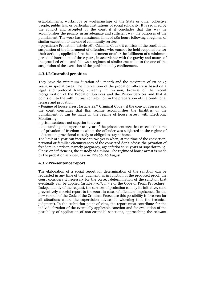establishments, workshops or workmanships of the State or other collective people, public law, or particular Institutions of social solidarity. It is required by the convict and accepted by the court if it concludes that this way he accomplishes the penalty in an adequate and sufficient way the purposes of the punishment. The work has a maximum limit of 480 hours following a regimen of similar execution to the one of community service;

- psychiatric Probation (article 98°; Criminal Code): it consists in the conditional suspension of the internment of offenders who cannot be held responsible for their actions, applied before the internment or after the fulfilment of a minimum period of internment of three years, in accordance with the gravity and nature of the practised crime and follows a regimen of similar execution to the one of the suspension of the execution of the punishment by confinement.

## **4.3.1.2 Custodial penalties**

They have the minimum duration of 1 month and the maximum of 20 or 25 years, in special cases. The intervention of the probation officers is based on a legal and protocol frame, currently in revision, because of the recent reorganization of the Probation Services and the Prison Services and that it points out to the with mutual contribution in the preparation of the conditional release and probation.

- Regime of house arrest (article 44.º Criminal Code): if the convict aggress and the court concludes that this regime accomplishes the finalities of the punishment, it can be made in the regime of house arrest, with Electronic Monitoring:

- prison sentence not superior to 1 year;
- outstanding not superior to 1 year of the prison sentence that exceeds the time of privation of freedom to whom the offender was subjected in the regime of detention, provisional custody or obliged to stay at home.

The limit of 1 year can increase to two years when, at the time of the conviction, personal or familiar circumstances of the convicted don't advise the privation of freedom in a prison, namely pregnancy, age inferior to 21 years or superior to 65, illness or deficiencies, the custody of a minor. The regime of house arrest is made by the probation services, Law nr 122/99, 20 August.

## **4.3.2 Pre-sentence report**

The elaboration of a social report for determination of the sanction can be requested in any time of the judgment, as in function of the produced proof, the court considers it necessary for the correct determination of the sanction that eventually can be applied (article 370.<sup>o</sup>, n.<sup>o</sup> 1 of the Code of Penal Procedure). Independently of the request, the services of probation can, by its initiative, send preventively a social report to the court in cases of offenders imprisoned (in the new version of the Code of the Criminal Procedure this possibility is foreseen for all situations where the supervision advises it, widening thus the technical judgment). In the technician point of view, the report must contribute for the individualization of the eventually applicable sanction and for evaluation of the possibility of application of non-custodial sanctions, approaching the relevant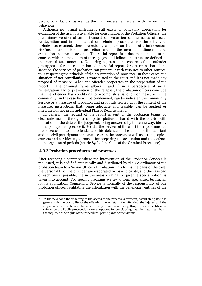psychosocial factors, as well as the main necessities related with the criminal behaviour.

 Although no formal instrument still exists of obligatory application for evaluation of the risk, it is available for consultation of the Probation Officers; the preliminary version of an instrument of evaluation of the needs of social reintegration and in the manual of technical procedures for the activity of technical assessment, there are guiding chapters on factors of criminogenous risk/needs and factors of protection and on the areas and dimensions of evaluation to have in account. The social report is a document that is to be concise, with the maximum of three pages, and follows the structure defined in the manual (see annex 2). Not being expressed the consent of the offender presupposed for the elaboration of the social report for determination of the sanction the services of probation can prepare it with resource to other sources, thus respecting the principle of the presumption of innocence. In these cases, the situation of not contribution is transmitted to the court and it is not made any proposal of measure. When the offender cooperates in the preparation of the report, if the criminal frame allows it and if, in a perspective of social reintegration and of prevention of the relapse , the probation officers conclude that the offender has conditions to accomplish a sanction or measure in the community (in the case he will be condemned) can be indicated the Community Service or a measure of probation and proposals related with the content of the measure, instructions that, being adequate and feasible, can be applied or integrated or not in an Individual Plan of Readjustment.

 In general, the request of the report is sent to the probation teams by electronic means through a computer platform shared with the courts, with indication of the date of the judgment, being answered by the same way, ideally in the 30 days that precede it. Besides the services of the court the report must be made accessible to the offender and his defenders. The offender, the assistant and the civil participants can have access to the process as well as getting copies, extracts and certificates, to consult for preparing the accusation and the defence in the legal stated periods (article 89.º of the Code of the Criminal Procedure)12

#### **4.3.3 Probation procedures and processes**

1

After receiving a sentence where the intervention of the Probation Services is requested, it is codified statistically and distributed by the Co-ordinator of the probation team to a Senior Officer of Probation This forms the basis of the case; the personality of the offender are elaborated by psychologists, and the caseload of each one if possible, the in the areas criminal or juvenile specialization, is taken into account. For specific programs we try to form specialized technician for its application. Community Service is normally of the responsibility of one probation officer, facilitating the articulation with the beneficiary entities of the

<sup>&</sup>lt;sup>12</sup> In the new code the widening of the access to the process is foreseen, establishing itself as general rule the possibility of the offender, the assistant, the offended, the injured and the responsible civil to be able to consult the process, as well as getting copies or certificates, safe when the Public prosecution service opposes for considering, mainly, that it can harm the inquiry or the rights of the procedural participants or the victims.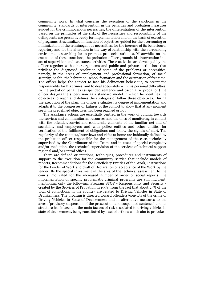community work. In what concerns the execution of the sanctions in the community, standards of intervention in the penalties and probation measures guided for the criminogenous necessities, the differentiation of the intervention based on the principles of the risk, of the necessities and responsibility of the delinquents are presently ready for implementation and on the basis of execution of programs structuralized in function of objectives guided for the overcoming or minimization of the criminogenous necessities, for the increase of its behavioural repertory and for the alteration in the way of relationship with the surrounding environment, searching for to promote pro-social attitudes. Meanwhile, on the execution of these sanctions, the probation officer grounds his intervention in a set of supervision and assistance activities. These activities are developed by the officer together with other organisms and public and private institutions that privilege the diagnosed resolution of some of the problems or necessities, namely, in the areas of employment and professional formation, of social security, health, the habitation, school formation and the occupation of free time. The officer helps the convict to face his delinquent behaviour, to accept the responsibility for his crimes, and to deal adequately with his personal difficulties. In the probation penalties (suspended sentence and psychiatric probation) the officer designs the supervision as a standard model in which he identifies the objectives to reach and defines the strategies of follow these objectives. During the execution of the plan, the officer evaluates its degree of implementation and adapts it to the progresses or failures of the convict to allow that at any moment see if the predefined objectives had been reached or not.

 The assistance actions are essentially centred in the work of guiding towards the services and communitarian resources and the ones of monitoring in contact with the offender/convict and collaterals, elements of the familiar net and of sociability and employers and with police entities and other entities for verification of the fulfilment of obligations and follow the signals of alert. The regularity of the contacts/interviews and visits at home are habitually defined by the probation officer responsible for the management of the case, technically supervised by the Coordinator of the Team, and in cases of special complexity and/or mediation, the technical supervision of the services of technical support regional and/or central offices.

 There are defined orientations, techniques, procedures and instruments of support to the execution for the community service that include models of reports, Recommendations for the Beneficiary Entities of the Work, Instructions for the Lender of Work and draft of Declaration of acceptance of the Work by the lender. By the special investment in the area of the technical assessment to the courts, motivated for the increased number of order of social reports, the implementation of specific problematic criminal programs are still incipient, mentioning only the following: Program STOP - Responsibility and Security created by the Services of Probation in 1998, from the fact that about 25% of the total of convictions in the country are related to Driving Vehicles in State of Drunkenness. The program is directed toward offenders/convicts of the crime of Driving Vehicles in State of Drunkenness and in alternative measures to the arrest (provisory suspension of the prosecution and suspended sentence) and its structure has in account the main factors of risk associated to driving vehicles in state of drunkenness, being constituted by a set of actions which aim to provoke a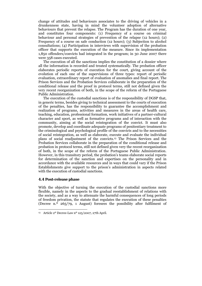change of attitudes and behaviours associates to the driving of vehicles in a drunkenness state, having in mind the volunteer adoption of alternative behaviours that prevent the relapse. The Program has the duration of one year, and constitutes four components: (1) Frequency of a course on criminal behaviour and personal strategies of prevention of the relapse (12 hours); (2) Frequency of a course on safe conduction (12 hours); (3) Subjection to alcohol consultations; (4) Participation in interviews with supervision of the probation officer that supports the execution of the measure. Since its implementation 1,850 offenders/convicts had integrated in the program; in 30 June 2007 there were 358 cases executed.

 The execution of all the sanctions implies the constitution of a dossier where all the information is recorded and treated systematically. The probation officer elaborates periodic reports of execution for the court, giving account of the evolution of each one of the supervisions of three types: report of periodic evaluation, extraordinary report of evaluation of anomalies and final report. The Prison Services and the Probation Services collaborate in the preparation of the conditional release and the proof in protocol terms, still not defined given the very recent reorganization of both, in the scope of the reform of the Portuguese Public Administration.

 The execution of the custodial sanctions is of the responsibility of DGSP that, in generic terms, besides giving to technical assessment to the courts of execution of the penalties, has the responsibility to guarantee the accomplishment and realization of programs, activities and measures in the areas of health care, teaching, education, professional formation, work initiatives of a partner-cultural character and sport, as well as formative programs and of interaction with the community, aiming at the social reintegration of the convict. It must also promote, develop and coordinate adequate programs of penitentiary treatment to the criminological and psychological profile of the convicts and to the necessities of social reintegration, as well as elaborate, execute and evaluate the individual plans of social readjustment of the convicts.13 The Prison Services and the Probation Services collaborate in the preparation of the conditional release and probation in protocol terms, still not defined given very the recent reorganization of both, in the scope of the reform of the Portuguese Public Administration. However, in this transitory period, the probation's teams elaborate social reports for determination of the sanction and expertises on the personality and in accordance with the available resources and in ways that could vary if the Prison Establishments give support to the prison's administration in aspects related with the execution of custodial sanctions.

#### **4.4 Post-release phase**

1

With the objective of turning the execution of the custodial sanctions more flexible, namely in the aspects to the gradual reestablishment of relations with the society, and as a way to attenuate the harmful consequences of long periods of freedom privation, the statute that regulates the execution of these penalties (Decree n.<sup>o</sup> 265/79, 1 August) foresees the possibility after fulfilment of

<sup>&</sup>lt;sup>13</sup> Article 2<sup>0</sup> Decree-Law n<sup>o</sup> 125/2007, 27th April.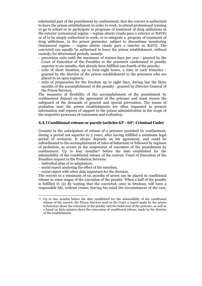substantial part of the punishment by confinement, that the convict is authorized to leave the prison establishment in order to work, to attend professional training or go to school or to participate in programs of treatment of drug addictions in the exterior (extramural regime – regime aberto virado para o exterior or RAVE) or of to be simply authorized to work, or to integrate a program of treatment of drug addictions, in the prison perimeter, subject to discontinue monitoring (intramural regime – regime aberto virado para o interior or RAVI). The convicted can equally be authorized to leave the prison establishment, without custody, for determined periods, namely:

- precarious exits until the maximum of sixteen days per year granted by the Court of Execution of the Penalties to the prisoners condemned to penalty superior to six months, that already have fulfilled one-fourth of the penalty;
- exits of short duration, up to forty-eight hours, a time in each trimester granted by the director of the prison establishment to the prisoners who are placed in an open regimen;
- exits of preparation for the freedom up to eight days, during last the three months of the accomplishment of the penalty - granted by Director-General of the Prison Services.

The measures of flexibility of the accomplishment of the punishment by confinement depend on the agreement of the prisoner and must ensure the safeguard of the demands of general and special prevention. The teams of probation near the prison establishments are often requested to present information and reports of support to the prison administration in the scope of the respective processes of concession and evaluation.

### **4.4.1 Conditional release or parole (articles 61° - 64°; Criminal Code)**

Consists in the anticipation of release of a prisoner punished by confinement, during a period not superior to 5 years, after having fulfilled a minimum legal period of reclusion. It always depends on his agreement, and could be subordinated to the accomplishment of rules of behaviour or followed by regimen of probation, as occurs in the suspension of execution of the punishment by confinement. Up to four months<sup>14</sup> before the date established for the admissibility of the conditional release of the convict, Court of Execution of the Penalties request to the Probation Services:

- individual plan of re-adaptation;

1

- social report analysing the effect of the sanction;
- social report with other data important for the decision.

The convict to a minimum of six months of arrest can be placed in conditional release in some stages of the execution of the penalty. When a half of the penalty is fulfilled if: (a) By waiting that the convicted, once in freedom, will have a responsible life, without crimes (having his mind the circumstances of the case,

<sup>14</sup> Up to two months before the date established for the admissibility of the conditional release of the convict, the Prison Services send to the Court a report made by the prison technicians about the execution of the penalty and the behaviour of the prisoner, as well as a based on facts opinion about the concession of conditional release, made by the director of the establishment.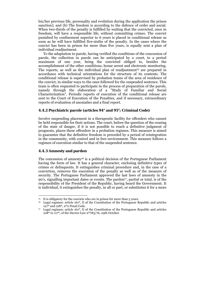his/her previous life, personality and evolution during the application the prison sanction); and (b) The freedom is according to the defence of order and social. When two-thirds of the penalty is fulfilled by waiting that the convicted, once in freedom, will have a responsible life, without committing crimes. The convict punished by confinement superior to 6 years is placed in conditional release as soon as he will have fulfilled five-sixths of the penalty. In the cases where the convict has been in prison for more than five years, is equally sent a plan of individual readjustment.

 To the adaptation to parole, having verified the conditions of the concession of parole, the collection in parole can be anticipated by a court, to a period maximum of one year, being the convicted obliged to, besides the accomplishment of the other conditions, house arrest and electronic monitoring. The reports, as well as the individual plan of readjustment<sup>15</sup> are prepared in accordance with technical orientations for the structure of its contents. The conditional release is supervised by probation teams of the area of residence of the convict, in similar ways to the ones followed for the suspended sentence. This team is often requested to participate in the process of preparation of the parole, namely through the elaboration of a "Study of Familiar and Social Characterization". Periodic reports of execution of the conditional release are sent to the Court of Execution of the Penalties, and if necessary, extraordinary reports of evaluation of anomalies and a final report.

#### **4.4.2 Psychiatric parole (articles 94° and 95°; Criminal Code)**

Involve suspending placement in a therapeutic facility for offenders who cannot be held responsible for their actions. The court, before the question of the ceasing of the state of danger, if it is not possible to reach a definitive judgment of prognosis, places these offenders in a probation regimen. This measure is aimed to guarantee that the definitive freedom is preceded by a period of reintegration in the community, with control and in free environment. This measure follows a regimen of execution similar to that of the suspended sentence.

## **4.4.3 Amnesty and pardon**

1

The concession of amnesty<sup>16</sup> is a political decision of the Portuguese Parliament having the form of law. It has a general character, enclosing definitive types of crimes or delinquents. It extinguishes criminal procedure and, in the case of a conviction, removes the execution of the penalty as well as of the measure of security. The Portuguese Parliament approved the last laws of amnesty in the 90's, signalling important dates or events. The pardon<sup>17</sup>, partial or total, is of the responsibility of the President of the Republic, having heard the Government. It is individual, it extinguishes the penalty, in all or part, or substitutes it for a more

<sup>&</sup>lt;sup>15</sup> It is obligatory for the convicts who are in prison for more than 5 years.

<sup>&</sup>lt;sup>16</sup> Legal regimen: article 161<sup>o</sup>, f) of the Constitution of the Portuguese Republic and articles  $127^{\circ}$  and  $128^{\circ}$ , n<sup>o</sup>2 Penal Code.<br>Legal regimen: article 161<sup>o</sup>, f) of the Constitution of the Portuguese Republic and articles

<sup>108</sup>º to 117º, of the Decree-Law nº783/76, 29th October.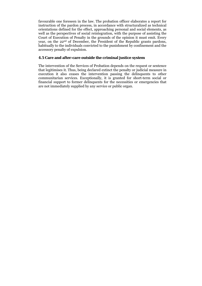favourable one foreseen in the law. The probation officer elaborates a report for instruction of the pardon process, in accordance with structuralized as technical orientations defined for the effect, approaching personal and social elements, as well as the perspectives of social reintegration, with the purpose of assisting the Court of Execution of Penalty in the grounds of the opinion it must emit. Every year, on the 22nd of December, the President of the Republic grants pardons, habitually to the individuals convicted to the punishment by confinement and the accessory penalty of expulsion.

## **4.5 Care and after-care outside the criminal justice system**

The intervention of the Services of Probation depends on the request or sentence that legitimises it. Thus, being declared extinct the penalty or judicial measure in execution it also ceases the intervention passing the delinquents to other communitarian services. Exceptionally, it is granted for short-term social or financial support to former delinquents for the necessities or emergencies that are not immediately supplied by any service or public organ.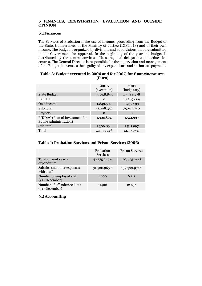## **5 FINANCES, REGISTRATION, EVALUATION AND OUTSIDE OPINION**

## **5.1 Finances**

The Services of Probation make use of incomes proceeding from the Budget of the State, transferences of the Ministry of Justice (IGFIJ, IP) and of their own income. The budget is organized by divisions and subdivisions that are submitted to the Government for approval. In the beginning of the year the budget is distributed by the central services offices, regional delegations and educative centres. The General Director is responsible for the supervision and management of the Budget, it oversees the legality of any expenditure and authorises payment.

## **Table 3: Budget executed in 2006 and for 2007, for financing source (Euro)**

|                                                          | 2006<br>(execution) | 2007<br>(budgetary) |
|----------------------------------------------------------|---------------------|---------------------|
| <b>State Budget</b>                                      | 39.358.845          | 19.388.278          |
| IGFIJ, IP                                                | $\Omega$            | 18.269.669          |
| Own income                                               | 1.849.507           | 1.959.793           |
| Sub-total                                                | 41.208.352          | 39.617.740          |
| Projects                                                 | $\Omega$            | $\Omega$            |
| PIDDAC (Plan of Investment for<br>Public Administration) | 1.306.894           | 1.541.997           |
| Sub-total                                                | 1.306.894           | 1.541.997           |
| Total                                                    | 42.515.246          | 41.159.737          |

## **Table 4: Probation Services and Prison Services (2006)**

|                                                            | Probation<br><b>Services</b> | <b>Prison Services</b> |
|------------------------------------------------------------|------------------------------|------------------------|
| Total current yearly<br>expenditure                        | 42.515.246 €                 | 193.875.241 €          |
| Salaries and other expenses<br>with staff                  | 31.580.965 €                 | 139.399.974 €          |
| Number of employed staff<br>(31 <sup>st</sup> December)    | 1600                         | 6 1 1 5                |
| Number of offenders/clients<br>(31 <sup>st</sup> December) | 11408                        | 12 6 3 6               |

## **5.2 Accounting**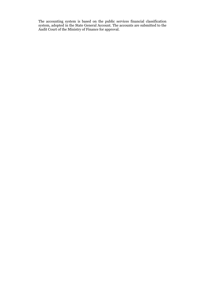The accounting system is based on the public services financial classification system, adopted in the State General Account. The accounts are submitted to the Audit Court of the Ministry of Finance for approval.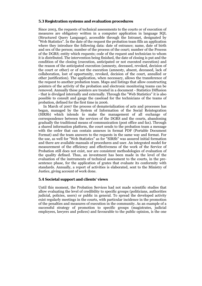#### **5.3 Registration systems and evaluation procedures**

Since 2003, the requests of technical assessments to the courts or of execution of measures are obligatory written in a computer application in language SQL (Structured Query Language), accessible through the Intranet, designated by "Web Statistics". In the date of the request the probation team fills an application where they introduce the following data: date of entrance; name, date of birth and sex of the person; number of the process of the court; number of the Process of the DGRS; entity which requests; code of the request and technician to whom it is distributed. The intervention being finished, the date of closing is put and the condition of the closing (execution, anticipated or not executed execution) and the reason of the anticipated execution (amnesty, deceased, revoked, decision of the court or other) or of not the execution (amnesty, absent, deceased, lack of collaboration, lost of opportunity, revoked, decision of the court, annulled or other justification). The application, when necessary, allows the transference of the request to another probation team. Maps and listings that allow constructing pointers of the activity of the probation and electronic monitoring teams can be removed. Annually these pointers are treated in a document - Statistics Diffusion - that is divulged internally and externally. Through the "Web Statistics" it is also possible to consult and gauge the caseload for the technicians of the teams of probation, defined for the first time in 2006.

 In March of 2007 the process of dematerialization of acts and processes has began, managed by the System of Information of the Social Reintegration (SIRSb) which intends to make the management of all exchange of correspondence between the services of the DGRS and the courts, abandoning gradually the traditional means of communication (post office and fax). Through a shared information platform, the court sends to the probation team a message with the order that can contain annexes in format PDF (Portable Document Format) and the team answers to the requests in the same way and format. For the use, as well for "Web Statistics" as for "SIRSb" was assured initial formation and there are available manuals of procedures and user. An integrated model for measurement of the efficiency and effectiveness of the work of the Service of Probation still does not exist, nor are consistent methodologies of evaluation of the quality defined. Thus, an investment has been made in the level of the evaluation of the instruments of technical assessment to the courts, in the presentence phase, for the application of grates that evaluate its conformity with standards. Annually, a report of activities is elaborated, sent to the Ministry of Justice, giving account of work done.

## **5.4 Societal support and clients' views**

Until this moment, the Probation Services had not made scientific studies that allow evaluating the level of credibility to specific groups (politicians, authorities judicial, policies, users) or public in general. To spread the developed activity exist regularly meetings in the courts, with particular incidence in the promotion of the penalties and measures of execution in the community. As an example of a successful strategy of promotion to specific groups (magistrates, judicial employees, lawyers and polices) and favourable to the public opinion, is the one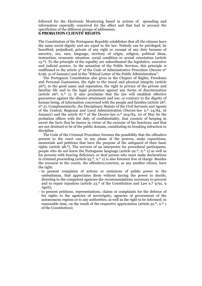followed for the Electronic Monitoring based in actions of spreading and information especially conceived for the effect and that had in account the specificities of the different groups of addressees.

#### **6 PROBATION CLIENTS' RIGHTS**

The Constitution of the Portuguese Republic establishes that all the citizens have the same social dignity and are equal in the law. Nobody can be privileged, be benefited, prejudiced, private of any right or exempt of any duty because of ancestry, sex, race, language, territory of origin, religion, political ideas, instruction, economic situation, social condition or sexual orientation (article 13.º). To the principle of the equality are subordinated the legislative, executive and judicial powers. In the actuation of the Public Services, this principle is reaffirmed in the article 5º of the Code of Administrative Procedure (Decree nº 6/96, 31 of January) and in the "Ethical Letter of the Public Administration".

 The Portuguese Constitution also gives in the Chapter of Rights, Freedoms and Personal Guarantees, the right to the moral and physical integrity (article 26º), to the good name and reputation, the right to privacy of the private and familiar life and to the legal protection against any forms of discrimination (article  $26^{\circ}$ , n.<sup>o</sup> 1). It also proclaims that the law will establish effective guarantees against the abusive attainment and use, or contrary to the dignity of human being, of information concerned with the people and families (article 26º, nº 2). Complementarily, the Disciplinary Statute of the Civil Servants and Agents of the Central, Regional and Local Administration (Decree-law n.º 24/84, 16 January) and the article 87.º of the Decree-law n.º 204/83, 20 of May tie the probation officer with the duty of confidentiality, that consists of keeping in secret the facts that he knows in virtue of the exercise of his functions and that are not destined to be of the public domain, constituting its breaking infraction to discipline.

 The Code of the Criminal Procedure foresees the possibility that the offenders present to the court can, in any phase of the process, make expositions, memorials and petitions that have the purpose of the safeguard of their basic rights (article 98.º). The services of an interpreter for procedural participants, people who do not know the Portuguese language (article 92.º, n.º 2) as well as for persons with hearing deficiency or deaf person who must make declarations in criminal proceeding (article  $93.0$ , n.<sup>o</sup> 2) is also foreseen free of charge. Besides the recourse to the courts, the offenders/convicts, as any another citizen, have the right:

- to present complains of actions or omissions of public power to the ombudsman, that appreciates them without having the power to decide, directing to the competent agencies the recommendations necessary to prevent and to repair injustices (article  $23.0$  of the Constitution and Law n.<sup>o</sup>  $9/91$ , 9 April);
- to present petitions, representations, claims or complaints for the defence of his rights to the agencies of sovereignty, agencies of government of the autonomous regions or to any authorities, as well as the right to be informed, in reasonable time, on the result of the respective appreciation (article 52.º, n.º 1 of the Constitution);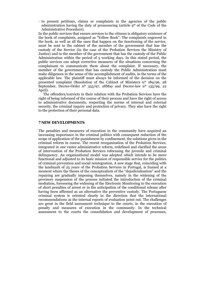- to present petitions, claims or complaints in the agencies of the public administration having the duty of pronouncing (article 9º of the Code of the Administrative Procedure).

In the public services that ensure services to the citizens is obligatory existence of the book of complaints, assigned as "Yellow Book". The complaints engraved in the book, as well as all the ones that happen on the functioning of the service, must be sent to the cabinet of the member of the government that has the custody of the Service (in the case of the Probation Services the Ministry of Justice) and to the member of the government that has the custody of the Public Administration within the period of 5 working days. In this stated period, the public services can adopt corrective measures of the situations concerning the complainant to communicate them about the complaint. If necessary, the member of the government that has custody the Public Administration must make diligences in the sense of the accomplishment of audits, in the terms of the applicable law. The plaintiff must always be informed of the decision on the presented complaint (Resolution of the Cabinet of Ministers nº 189/96, 28 September, Decree-Order nº 355/97, 28May and Decree-law nº 135/99, 22 April).

 The offenders/convicts in their relation with the Probation Services have the right of being informed of the course of their process and have the right of access to administrative documents, respecting the norms of internal and external security, the criminal inquiry and protection of privacy. They also have the right to the protection of their personal data.

## **7 NEW DEVELOPMENTS**

The penalties and measures of execution in the community have acquired an increasing importance in the criminal politics with consequent reduction of the scope of application of the punishment by confinement, the solutions given in the criminal reform in course. The recent reorganization of the Probation Services, integrated in one vaster administrative reform, redefined and clarified the areas of intervention of the Probation Services refocusing the juvenile and criminal delinquency. An organizational model was adopted which intends to be more functional and adjusted to its basic mission of responsible service for the politics of criminal prevention and social reintegration. A new stage that, coinciding with the landmark of 25 years of the Probation Services in Portugal, is framed at a moment where the theses of the conceptualism of the "dejudicialisation" and the repairing are gradually imposing themselves, namely in the widening of the provisory suspension of the process initiated the introduction of the criminal mediation, foreseeing the widening of the Electronic Monitoring to the execution of short penalties of arrest or in the anticipation of the conditional release after having been affirmed as an alternative the preventive custody. The Portuguese criminal system is oriented clearly in the direction that the international recommendations as the internal reports of evaluation point out. The challenges are great in the field assessment technique to the courts, in the execution of penalty and measures of execution in the community. In the technical assessment to the courts the consolidation and development of processes,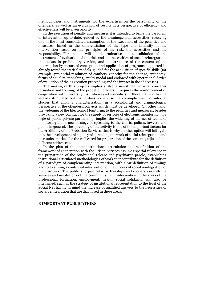methodologies and instruments for the expertises on the personality of the offenders, as well as an evaluation of results in a perspective of efficiency and effectiveness will be given priority.

 In the execution of penalty and measures it is intended to bring the paradigm of intervention up-to-date, guided by the criminogenous necessities, receiving one of the most consolidated assumption of the execution of the penalties and measures, based in the differentiation of the type and intensity of the intervention based on the principles of the risk, the necessities and the responsibility. For that it will be determinative the consolidation of the instrument of evaluation of the risk and the necessities of social reintegration, that exists in preliminary version, and the structure of the content of the intervention by means of conception and application of programs supported in already tested theoretical models, guided for the acquisition of specific skills (for example: pro-social resolution of conflicts, capacity for the change, autonomy, forms of equal relationships), multi-modal and endowed with operational device of evaluation of their execution proceeding and the impact in the addressees.

 The making of this projects implies a strong investment in what concerns formation and training of the probation officers; it requires the reinforcement of cooperation with university institutions and specialists in these matters, having already stimulated but that it does not excuse the accomplishment of internal studies that allow a characterization, in a sociological and criminological perspective of the offenders/convicts which must be developed. On other hand, the widening of the Electronic Monitoring to the penalties and measures, besides provoking a new contract for the supply of services of electronic monitoring, in a logic of public-private partnership, implies the widening of the net of teams of monitoring and a new strategy of spreading to the courts, polices, lawyers and public in general. The spreading of the activity is one of the important factors for the credibility of the Probation Services, that is why another option will fall again into the development of a policy of spreading the work of social reintegration and its results, marked for the well cared for preparation of the contents, adjusted the different addressees.

 In the plan of the inter-institutional articulation the redefinition of the framework of cooperation with the Prison Services assumes special relevance in the preparation of the conditional release and psychiatric parole, establishing institutional articulated methodologies of work that contribute for the definition of a paradigm of complementing intervention, with clear definition of timings and roles aiming a continued intervention of the process of social reintegration of the prisoners. The public and particular partnerships and cooperation with the services and institutions of the community, with intervention in the areas of the professional formation, employment, health, social solidarity, will also be intensified, such as the strategy of institutional representation to the level of the Social Net having in mind the increase of qualified answers to the necessities of social reintegration that are diagnosed in these areas.

#### **8 IMPORTANT PUBLICATIONS**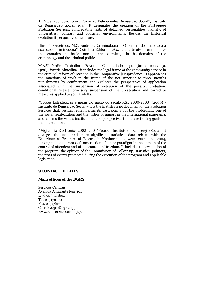J. Figueiredo, João, coord. *Cidadão Delinquente: Reinserção Social?, Instituto de Reinserção Social*, 1983, It designates the creation of the Portuguese Probation Services, congregating texts of detached personalities, namely, of universities, judiciary and politician environments. Besides the historical evolution it perspectives the future.

Dias, J. Figueiredo, M.C. Andrade, *Criminologia – O homem delinquente e a sociedade criminógena", Coimbra Editora*, 1984, It is a treaty of criminology that contains the basic concepts and knowledge in the domains of the criminology and the criminal politics.

M.A.V. Jardim, *Trabalho a Favor da Comunidade: a punição em mudança*, 1988, Livraria Almedina - it includes the legal frame of the community service in the criminal reform of 1982 and in the Comparative jurisprudence. It approaches the sanctions of work in the frame of the not superior to three months punishments by confinement and explores the perspectives of application associated with the suspension of execution of the penalty, probation, conditional release, provisory suspension of the prosecution and corrective measures applied to young adults.

*"Opções Estratégicas e metas no inicio do século XXI 2000-2003"* (2000) - Instituto de Reinserção Social – it is the first strategic document of the Probation Services that, besides remembering its past, points out the problematic one of the social reintegration and the justice of minors in the international panorama, and affirms the values institutional and perspectives the future tracing goals for the intervention.

 "*Vigilância Electrónica 2002 -2004"* **(**2005), Instituto de Reinserção Social - it divulges the texts and more significant statistical data related with the Experimental Program of Electronic Monitoring, between 2002 and 2004, making public the work of construction of a new paradigm in the domain of the control of offenders and of the concept of freedom. It includes the evaluation of the program, the opinion of the Commission of Follow-up, statistical pointers, the texts of events promoted during the execution of the program and applicable legislation.

#### **9 CONTACT DETAILS**

#### **Main offices of the DGRS**

Serviços Centrais Avenida Almirante Reis 101 1150-013 Lisboa Tel. 213176100 Fax. 213176171 Correio.dgrs@dgrs.mj.pt www.reinsercaosocial.mj.pt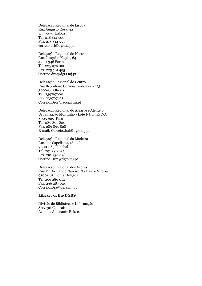Delegação Regional de Lisboa Rua Augusto Rosa, 42 1149-074 Lisboa Tel. 218 814 500 Fax. 218 814 555 correio.drl@dgrs.mj.pt

Delegação Regional do Norte Rua Joaquim Kopke, 64 4200-346 Porto Tel. 225 076 000 Fax. 225 501 495 Correio.drn@dgrs.mj.pt

Delegação Regional do Centro Rua Brigadeiro Correia Cardoso - nº 73 3000-86 Olivais Tel. 239797600 Fax. 239797625 Correio.Drc@irsocial.mj.pt

Delegação Regional do Algarve e Alentejo Urbanização Montinho - Lote I-J, 15 R/C-A 8005-325 Faro Tel. 289 895 820 Fax. 289 895 828 E-mail: Correio.dral@dgrs.mj.pt

Delegação Regional da Madeira Rua dos Capelistas, 18 - 2º 9000-063 Funchal Tel. 291 230 627 Fax. 291 230 628 Correio.Drm@dgrs.mj.pt

Delegação Regional dos Açores Rua Dr. Armando Narciso, 7 - Bairro Vitória 9500-185 Ponta Delgada Tel. 296 286 012 Fax. 296 287 024 Correio.Dra@dgrs.mj.pt

## **Library of the DGRS**

Divisão de Biblioteca e Informação Serviços Centrais Avenida Almirante Reis 101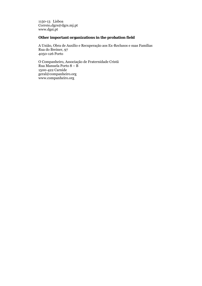1150-13 Lisboa Correio**.**dgrs@dgrs.mj.pt www.dgsi.pt

# **Other important organizations in the probation field**

A União, Obra de Auxílio e Recuperação aos Ex-Reclusos e suas Famílias Rua do Breiner, 97 4050-126 Porto

O Companheiro, Associação de Fraternidade Cristã Rua Manuela Porto 8 – B 1500-422 Carnide geral@companheiro.org www.companheiro.org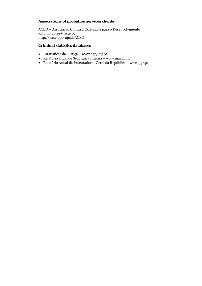# **Associations of probation services clients**

ACED – Associação Contra a Exclusão e para o Desenvolvimento antonio.dores@iscte.pt http://iscte.ppt~apad/ACED

# **Criminal statistics databases**

- Estatísticas da Justiça www.dgpj.mj.pt
- Relatório anual de Segurança Interna www.mai.gov.pt
- Relatório Anual da Procuradoria-Geral da República www.pgr.pt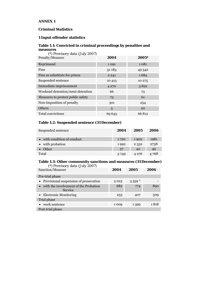## **ANNEX 1**

# **Criminal Statistics**

## **1 Input offender statistics**

# **Table 1.1: Convicted in criminal proceedings by penalties and measures**

 *(\*) Provisory data (July 2007)*

| Penalty/Measure                   | 2004    | 2005*   |
|-----------------------------------|---------|---------|
| Reprimand                         | 1091    | 1 0 8 1 |
| Fine                              | 51 183  | 49 542  |
| Fine as substitute for prison     | 2 2 4 1 | 1684    |
| Suspended sentence                | 10 4 13 | 10 275  |
| Immediate imprisonment            | 4 2 7 0 | 3822    |
| Weekend detention/semi-detention  | 66      | 73      |
| Measures to protect public safety | 73      | 61      |
| Non-imposition of penalty         | 301     | 254     |
| Others                            | 5       | 20      |
| <b>Total convictions</b>          | 69 643  | 66812   |

## **Table 1.2: Suspended sentence (31 December)**

| Suspended sentence          | 2004  | 2005    | 2006  |
|-----------------------------|-------|---------|-------|
| • with condition of conduct | 1720  | 1902    | 1981  |
| • with probation            | 1992  | 2 3 3 2 | 2738  |
| <b>Other</b>                | 37    | 42      | 49    |
| Total                       | 3.749 | 4 2 7 6 | 4 768 |

# **Table 1.3: Other community sanctions and measures (31 December)**

| (*) Provisory data (July 2007)                            |      |          |      |
|-----------------------------------------------------------|------|----------|------|
| Sanction/Measure                                          | 2004 | 2005     | 2006 |
| Pre-trial phase                                           |      |          |      |
| • Provisional suspension of prosecution                   | 3023 | $3.559*$ |      |
| • with the involvement of the Probation<br><b>Service</b> | 682  | 774      | 890  |
| • Electronic Monitoring                                   | 253  | 407      | 509  |
| Trial phase                                               |      |          |      |
| • work sentence                                           | 1009 | 1399     | 1818 |
| Post-trial phase                                          |      |          |      |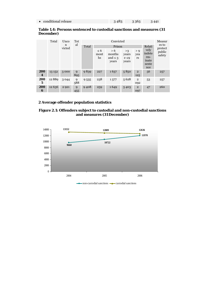| • conditional release | 3483 | $-3363$ | 3441 |
|-----------------------|------|---------|------|
|-----------------------|------|---------|------|

## **Table 1.4: Persons sentenced to custodial sanctions and measures (31 December)**

|                    | Total    | Unco        | Tot      |       | Convicted              |                                        |                                    |                       |                                                  | Measur           |
|--------------------|----------|-------------|----------|-------|------------------------|----------------------------------------|------------------------------------|-----------------------|--------------------------------------------------|------------------|
|                    |          | n<br>victed | al       | Total |                        | Prison                                 |                                    |                       | Relati                                           | es to<br>protect |
|                    |          |             |          |       | $\leq 6$<br>mont<br>hs | > 6<br>months<br>and $\leq$ 3<br>years | >3<br>years<br>$e \leq 9$<br>years | > 9<br>yea<br>rs      | vely<br>indete<br>$rm-$<br>inate<br>sente<br>nce | public<br>safety |
| 200<br>4           | 13 15 2  | 3000        | 9<br>895 | 9839  | 227                    | 1637                                   | 5850                               | $\overline{2}$<br>125 | 56                                               | 257              |
| 200<br>$\mathbf 5$ | 12889    | 3044        | 9<br>588 | 9535  | 238                    | 1577                                   | 5628                               | $\overline{2}$<br>092 | 53                                               | 257              |
| 200<br>6           | 12 6 3 6 | 2 9 2 1     | 9<br>455 | 9408  | 259                    | 1649                                   | 5403                               | $\overline{2}$<br>097 | 47                                               | 260              |

## **2 Average offender population statistics**

#### **Figure 2.1: Offenders subject to custodial and non-custodial sanctions and measures (31 December)**

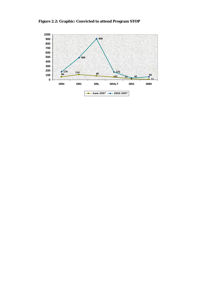